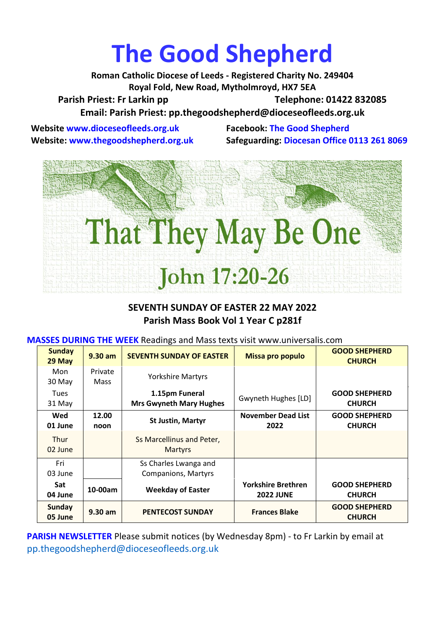# **The Good Shepherd**

**Roman Catholic Diocese of Leeds - Registered Charity No. 249404 Royal Fold, New Road, Mytholmroyd, HX7 5EA** Parish Priest: Fr Larkin pp Telephone: 01422 832085 **Email: Parish Priest: [pp.thegoodshepherd@dioceseofleeds.org.uk](http://Name:%C2%A0pp.thegoodshepherd@dioceseofleeds.org.uk/)**

**Website www.dioceseofleeds.org.uk Facebook: The Good Shepherd**

**Website: www.thegoodshepherd.org.uk Safeguarding: Diocesan Office 0113 261 8069**



#### **SEVENTH SUNDAY OF EASTER 22 MAY 2022 Parish Mass Book Vol 1 Year C p281f**

**MASSES DURING THE WEEK** Readings and Mass texts visit www.universalis.com

| <b>Sunday</b><br>29 May  | $9.30$ am              | <b>SEVENTH SUNDAY OF EASTER</b>                     | Missa pro populo                              | <b>GOOD SHEPHERD</b><br><b>CHURCH</b> |
|--------------------------|------------------------|-----------------------------------------------------|-----------------------------------------------|---------------------------------------|
| Mon<br>30 May            | Private<br><b>Mass</b> | <b>Yorkshire Martyrs</b>                            |                                               |                                       |
| <b>Tues</b><br>31 May    |                        | 1.15pm Funeral<br><b>Mrs Gwyneth Mary Hughes</b>    | Gwyneth Hughes [LD]                           | <b>GOOD SHEPHERD</b><br><b>CHURCH</b> |
| Wed<br>01 June           | 12.00<br>noon          | <b>St Justin, Martyr</b>                            | <b>November Dead List</b><br>2022             | <b>GOOD SHEPHERD</b><br><b>CHURCH</b> |
| <b>Thur</b><br>02 June   |                        | Ss Marcellinus and Peter,<br><b>Martyrs</b>         |                                               |                                       |
| Fri<br>03 June           |                        | Ss Charles Lwanga and<br><b>Companions, Martyrs</b> |                                               |                                       |
| <b>Sat</b><br>04 June    | 10-00am                | <b>Weekday of Easter</b>                            | <b>Yorkshire Brethren</b><br><b>2022 JUNE</b> | <b>GOOD SHEPHERD</b><br><b>CHURCH</b> |
| <b>Sunday</b><br>05 June | $9.30$ am              | <b>PENTECOST SUNDAY</b>                             | <b>Frances Blake</b>                          | <b>GOOD SHEPHERD</b><br><b>CHURCH</b> |

**PARISH NEWSLETTER** Please submit notices (by Wednesday 8pm) - to Fr Larkin by email at pp.thegoodshepherd@dioceseofleeds.org.uk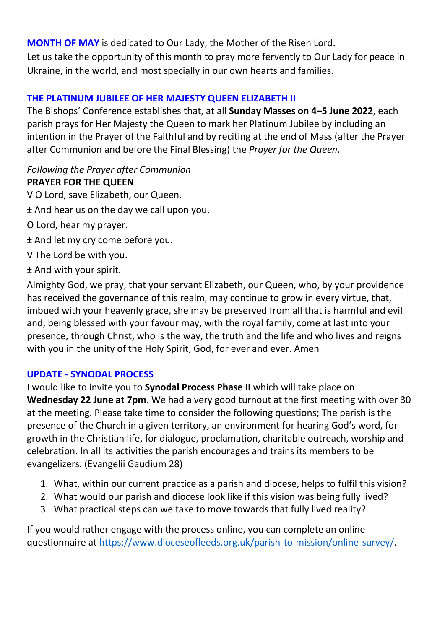**MONTH OF MAY** is dedicated to Our Lady, the Mother of the Risen Lord. Let us take the opportunity of this month to pray more fervently to Our Lady for peace in Ukraine, in the world, and most specially in our own hearts and families.

## **THE PLATINUM JUBILEE OF HER MAJESTY QUEEN ELIZABETH II**

The Bishops' Conference establishes that, at all **Sunday Masses on 4–5 June 2022**, each parish prays for Her Majesty the Queen to mark her Platinum Jubilee by including an intention in the Prayer of the Faithful and by reciting at the end of Mass (after the Prayer after Communion and before the Final Blessing) the *Prayer for the Queen*.

# *Following the Prayer after Communion*

#### **PRAYER FOR THE QUEEN**

- V O Lord, save Elizabeth, our Queen.
- ± And hear us on the day we call upon you.
- O Lord, hear my prayer.
- ± And let my cry come before you.
- V The Lord be with you.
- ± And with your spirit.

Almighty God, we pray, that your servant Elizabeth, our Queen, who, by your providence has received the governance of this realm, may continue to grow in every virtue, that, imbued with your heavenly grace, she may be preserved from all that is harmful and evil and, being blessed with your favour may, with the royal family, come at last into your presence, through Christ, who is the way, the truth and the life and who lives and reigns with you in the unity of the Holy Spirit, God, for ever and ever. Amen

#### **UPDATE - SYNODAL PROCESS**

I would like to invite you to **Synodal Process Phase II** which will take place on **Wednesday 22 June at 7pm**. We had a very good turnout at the first meeting with over 30 at the meeting. Please take time to consider the following questions; The parish is the presence of the Church in a given territory, an environment for hearing God's word, for growth in the Christian life, for dialogue, proclamation, charitable outreach, worship and celebration. In all its activities the parish encourages and trains its members to be evangelizers. (Evangelii Gaudium 28)

- 1. What, within our current practice as a parish and diocese, helps to fulfil this vision?
- 2. What would our parish and diocese look like if this vision was being fully lived?
- 3. What practical steps can we take to move towards that fully lived reality?

If you would rather engage with the process online, you can complete an online questionnaire at [https://www.dioceseofleeds.org.uk/parish-to-mission/online-survey/.](https://www.dioceseofleeds.org.uk/parish-to-mission/online-survey/)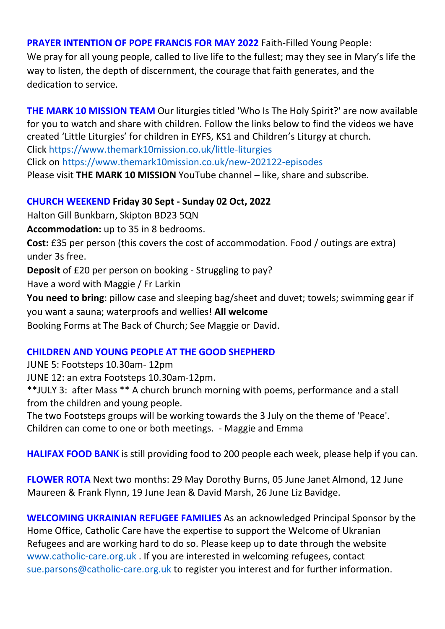#### **PRAYER INTENTION OF POPE FRANCIS FOR MAY 2022** Faith-Filled Young People:

We pray for all young people, called to live life to the fullest; may they see in Mary's life the way to listen, the depth of discernment, the courage that faith generates, and the dedication to service.

**THE MARK 10 MISSION TEAM** Our liturgies titled 'Who Is The Holy Spirit?' are now available for you to watch and share with children. Follow the links below to find the videos we have created 'Little Liturgies' for children in EYFS, KS1 and Children's Liturgy at church. Click <https://www.themark10mission.co.uk/little-liturgies>

Click on <https://www.themark10mission.co.uk/new-202122-episodes>

Please visit **THE MARK 10 MISSION** YouTube channel – like, share and subscribe.

#### **CHURCH WEEKEND Friday 30 Sept - Sunday 02 Oct, 2022**

Halton Gill Bunkbarn, Skipton BD23 5QN

**Accommodation:** up to 35 in 8 bedrooms.

**Cost:** £35 per person (this covers the cost of accommodation. Food / outings are extra) under 3s free.

**Deposit** of £20 per person on booking - Struggling to pay?

Have a word with Maggie / Fr Larkin

**You need to bring**: pillow case and sleeping bag/sheet and duvet; towels; swimming gear if you want a sauna; waterproofs and wellies! **All welcome** Booking Forms at The Back of Church; See Maggie or David.

## **CHILDREN AND YOUNG PEOPLE AT THE GOOD SHEPHERD**

JUNE 5: Footsteps 10.30am- 12pm

JUNE 12: an extra Footsteps 10.30am-12pm.

\*\*JULY 3: after Mass \*\* A church brunch morning with poems, performance and a stall from the children and young people.

The two Footsteps groups will be working towards the 3 July on the theme of 'Peace'.

Children can come to one or both meetings. - Maggie and Emma

**HALIFAX FOOD BANK** is still providing food to 200 people each week, please help if you can.

**FLOWER ROTA** Next two months: 29 May Dorothy Burns, 05 June Janet Almond, 12 June Maureen & Frank Flynn, 19 June Jean & David Marsh, 26 June Liz Bavidge.

**WELCOMING UKRAINIAN REFUGEE FAMILIES** As an acknowledged Principal Sponsor by the Home Office, Catholic Care have the expertise to support the Welcome of Ukranian Refugees and are working hard to do so. Please keep up to date through the website [www.catholic-care.org.uk](http://www.catholic-care.org.uk/) . If you are interested in welcoming refugees, contact [sue.parsons@catholic-care.org.uk](mailto:sue.parsons@catholic-care.org.uk) to register you interest and for further information.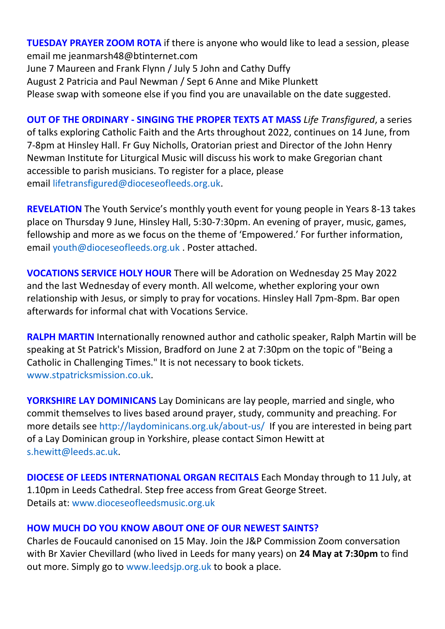**TUESDAY PRAYER ZOOM ROTA** if there is anyone who would like to lead a session, please email me jeanmarsh48@btinternet.com June 7 Maureen and Frank Flynn / July 5 John and Cathy Duffy August 2 Patricia and Paul Newman / Sept 6 Anne and Mike Plunkett Please swap with someone else if you find you are unavailable on the date suggested.

**OUT OF THE ORDINARY - SINGING THE PROPER TEXTS AT MASS** *Life Transfigured*, a series of talks exploring Catholic Faith and the Arts throughout 2022, continues on 14 June, from 7-8pm at Hinsley Hall. Fr Guy Nicholls, Oratorian priest and Director of the John Henry Newman Institute for Liturgical Music will discuss his work to make Gregorian chant accessible to parish musicians. To register for a place, please email [lifetransfigured@dioceseofleeds.org.uk.](mailto:lifetransfigured@dioceseofleeds.org.uk)

**REVELATION** The Youth Service's monthly youth event for young people in Years 8-13 takes place on Thursday 9 June, Hinsley Hall, 5:30-7:30pm. An evening of prayer, music, games, fellowship and more as we focus on the theme of 'Empowered.' For further information, email [youth@dioceseofleeds.org.uk](mailto:youth@dioceseofleeds.org.uk) . Poster attached.

**VOCATIONS SERVICE HOLY HOUR** There will be Adoration on Wednesday 25 May 2022 and the last Wednesday of every month. All welcome, whether exploring your own relationship with Jesus, or simply to pray for vocations. Hinsley Hall 7pm-8pm. Bar open afterwards for informal chat with Vocations Service.

**RALPH MARTIN** Internationally renowned author and catholic speaker, Ralph Martin will be speaking at St Patrick's Mission, Bradford on June 2 at 7:30pm on the topic of "Being a Catholic in Challenging Times." It is not necessary to book tickets. [www.stpatricksmission.co.uk.](http://www.stpatricksmission.co.uk/)

**YORKSHIRE LAY DOMINICANS** Lay Dominicans are lay people, married and single, who commit themselves to lives based around prayer, study, community and preaching. For more details see [http://laydominicans.org.uk/about-us/](https://eu-west-1.protection.sophos.com/?d=outlook.com&u=aHR0cHM6Ly9uYW0xMi5zYWZlbGlua3MucHJvdGVjdGlvbi5vdXRsb29rLmNvbS8_dXJsPWh0dHAlM0ElMkYlMkZsYXlkb21pbmljYW5zLm9yZy51ayUyRmFib3V0LXVzJTJGJmRhdGE9MDUlN0MwMSU3QyU3QzQzOTA0NzFiMjg3ZTQ0NTRiZjMzMDhkYTMzM2FjNTYxJTdDODRkZjllN2ZlOWY2NDBhZmI0MzVhYWFhYWFhYWFhYWElN0MxJTdDMCU3QzYzNzg3ODYyNDc3NzA0MDEzNyU3Q1Vua25vd24lN0NUV0ZwYkdac2IzZDhleUpXSWpvaU1DNHdMakF3TURBaUxDSlFJam9pVjJsdU16SWlMQ0pCVGlJNklrMWhhV3dpTENKWFZDSTZNbjAlM0QlN0MzMDAwJTdDJTdDJTdDJnNkYXRhPUJNJTJCa01Qb0tKZml5MG1aTWg0UiUyQjZhS2hucUU1akJwU0w3QVAlMkZYeSUyRkxiRSUzRCZyZXNlcnZlZD0w&i=NWNmNjM5Zjk2M2EzYmMxNDI0YzEyMTQy&t=dFNJVFVMUXNrY0czMnFGZFVuM3pEdWlPenN6VjZaUENKRElINDVwUE5rcz0=&h=e5c248f6f29c48758b1647b0109c99e9) If you are interested in being part of a Lay Dominican group in Yorkshire, please contact Simon Hewitt at [s.hewitt@leeds.ac.uk.](mailto:s.hewitt@leeds.ac.uk)

**DIOCESE OF LEEDS INTERNATIONAL ORGAN RECITALS** Each Monday through to 11 July, at 1.10pm in Leeds Cathedral. Step free access from Great George Street. Details at:<www.dioceseofleedsmusic.org.uk>

#### **HOW MUCH DO YOU KNOW ABOUT ONE OF OUR NEWEST SAINTS?**

Charles de Foucauld canonised on 15 May. Join the J&P Commission Zoom conversation with Br Xavier Chevillard (who lived in Leeds for many years) on **24 May at 7:30pm** to find out more. Simply go to [www.leedsjp.org.uk](http://www.leedsjp.org.uk/) to book a place.